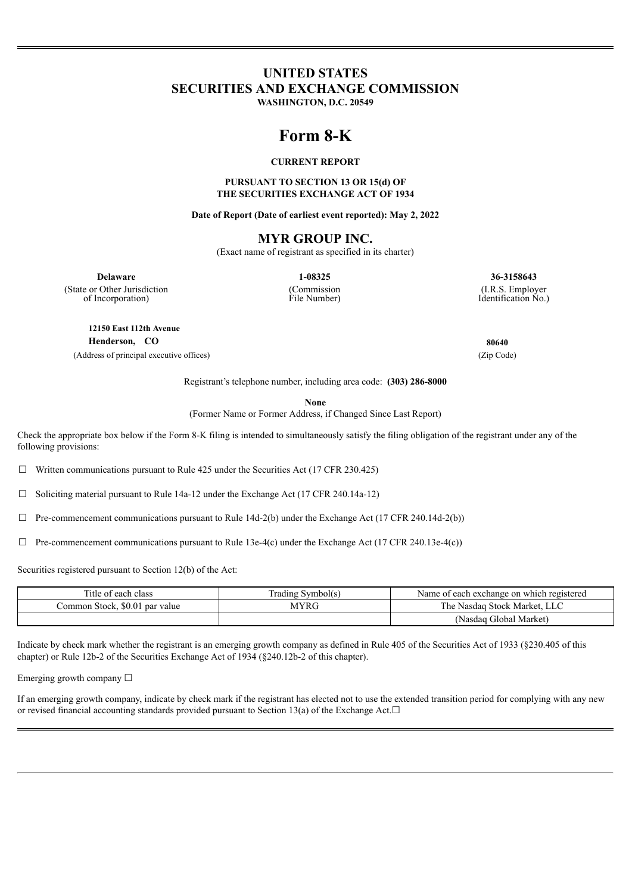## **UNITED STATES SECURITIES AND EXCHANGE COMMISSION**

**WASHINGTON, D.C. 20549**

# **Form 8-K**

## **CURRENT REPORT**

## **PURSUANT TO SECTION 13 OR 15(d) OF THE SECURITIES EXCHANGE ACT OF 1934**

**Date of Report (Date of earliest event reported): May 2, 2022**

## **MYR GROUP INC.**

(Exact name of registrant as specified in its charter)

(Commission File Number)

**Delaware 1-08325 36-3158643**

(State or Other Jurisdiction of Incorporation)

**12150 East 112th Avenue**

**Henderson, CO 80640**

(Address of principal executive offices) (Zip Code)

(I.R.S. Employer Identification No.)

Registrant's telephone number, including area code: **(303) 286-8000**

**None**

(Former Name or Former Address, if Changed Since Last Report)

Check the appropriate box below if the Form 8-K filing is intended to simultaneously satisfy the filing obligation of the registrant under any of the following provisions:

☐ Written communications pursuant to Rule 425 under the Securities Act (17 CFR 230.425)

☐ Soliciting material pursuant to Rule 14a-12 under the Exchange Act (17 CFR 240.14a-12)

 $\Box$  Pre-commencement communications pursuant to Rule 14d-2(b) under the Exchange Act (17 CFR 240.14d-2(b))

 $\Box$  Pre-commencement communications pursuant to Rule 13e-4(c) under the Exchange Act (17 CFR 240.13e-4(c))

Securities registered pursuant to Section 12(b) of the Act:

| Title of each class            | frading Symbol(s) | Name of each exchange on which registered |
|--------------------------------|-------------------|-------------------------------------------|
| Common Stock. \$0.01 par value | AYRG              | : Nasdag Stock Market. LLC<br>The.        |
|                                |                   | (Nasdaq Global Market)                    |

Indicate by check mark whether the registrant is an emerging growth company as defined in Rule 405 of the Securities Act of 1933 (§230.405 of this chapter) or Rule 12b-2 of the Securities Exchange Act of 1934 (§240.12b-2 of this chapter).

Emerging growth company ☐

If an emerging growth company, indicate by check mark if the registrant has elected not to use the extended transition period for complying with any new or revised financial accounting standards provided pursuant to Section 13(a) of the Exchange Act. $□$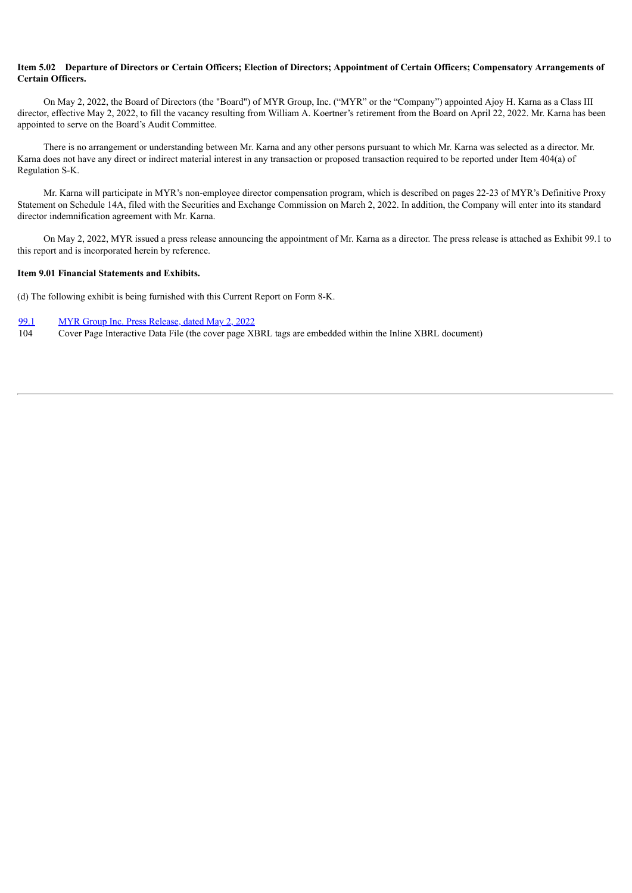### Item 5.02 Departure of Directors or Certain Officers; Election of Directors; Appointment of Certain Officers; Compensatory Arrangements of **Certain Officers.**

On May 2, 2022, the Board of Directors (the "Board") of MYR Group, Inc. ("MYR" or the "Company") appointed Ajoy H. Karna as a Class III director, effective May 2, 2022, to fill the vacancy resulting from William A. Koertner's retirement from the Board on April 22, 2022. Mr. Karna has been appointed to serve on the Board's Audit Committee.

There is no arrangement or understanding between Mr. Karna and any other persons pursuant to which Mr. Karna was selected as a director. Mr. Karna does not have any direct or indirect material interest in any transaction or proposed transaction required to be reported under Item 404(a) of Regulation S-K.

Mr. Karna will participate in MYR's non-employee director compensation program, which is described on pages 22-23 of MYR's Definitive Proxy Statement on Schedule 14A, filed with the Securities and Exchange Commission on March 2, 2022. In addition, the Company will enter into its standard director indemnification agreement with Mr. Karna.

On May 2, 2022, MYR issued a press release announcing the appointment of Mr. Karna as a director. The press release is attached as Exhibit 99.1 to this report and is incorporated herein by reference.

#### **Item 9.01 Financial Statements and Exhibits.**

(d) The following exhibit is being furnished with this Current Report on Form 8-K.

[99.1](#page-3-0) MYR Group Inc. Press [Release,](#page-3-0) dated [May](#page-3-0) [2,](#page-3-0) [2022](#page-3-0)

104 Cover Page Interactive Data File (the cover page XBRL tags are embedded within the Inline XBRL document)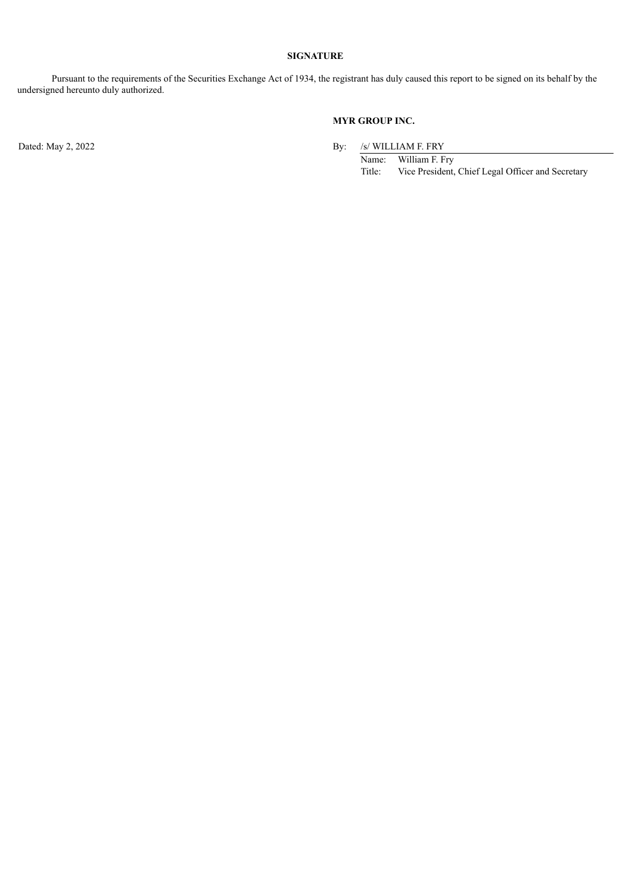## **SIGNATURE**

Pursuant to the requirements of the Securities Exchange Act of 1934, the registrant has duly caused this report to be signed on its behalf by the undersigned hereunto duly authorized.

## **MYR GROUP INC.**

Dated: May 2, 2022 By: /s/ WILLIAM F. FRY

Name: William F. Fry<br>Title: Vice President, Vice President, Chief Legal Officer and Secretary